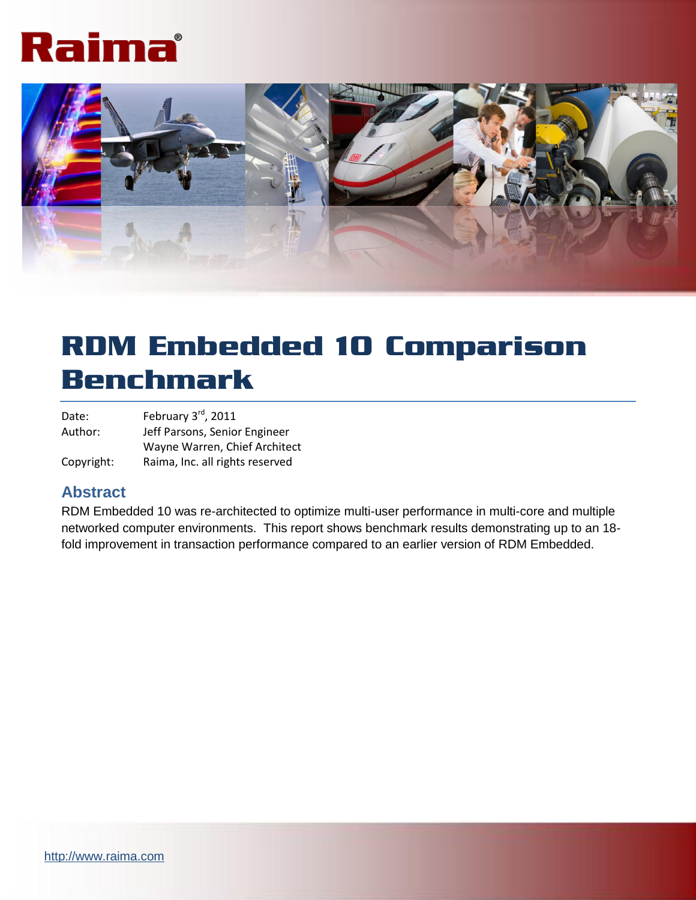# Raima



# RDM Embedded 10 Comparison Benchmark

Date: February 3<sup>rd</sup>, 2011 Author: Jeff Parsons, Senior Engineer Wayne Warren, Chief Architect Copyright: Raima, Inc. all rights reserved

#### <span id="page-0-0"></span>**Abstract**

RDM Embedded 10 was re-architected to optimize multi-user performance in multi-core and multiple networked computer environments. This report shows benchmark results demonstrating up to an 18 fold improvement in transaction performance compared to an earlier version of RDM Embedded.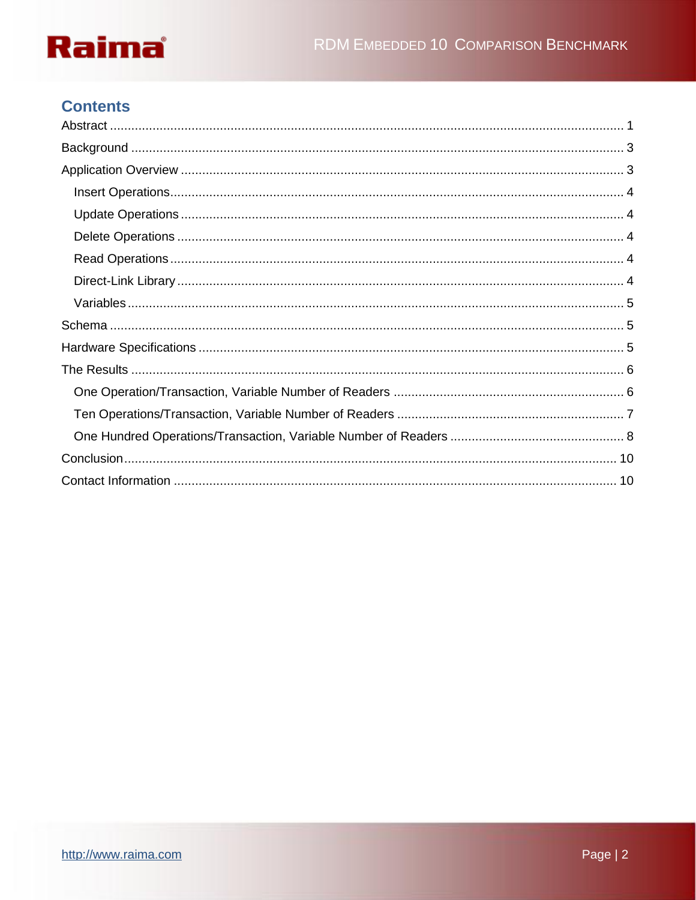# Raima

# **Contents**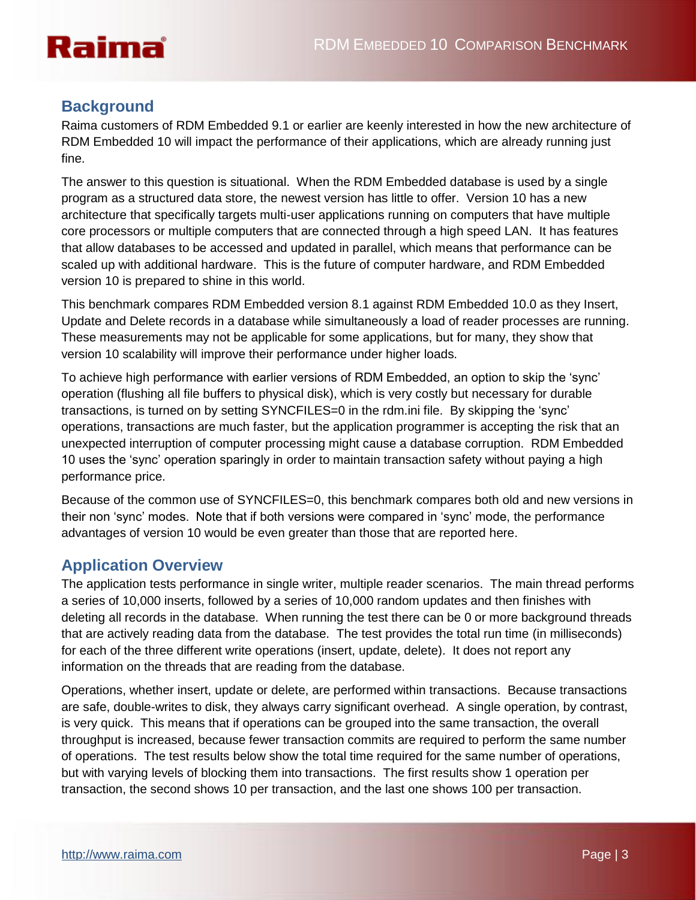

### <span id="page-2-0"></span>**Background**

Raima customers of RDM Embedded 9.1 or earlier are keenly interested in how the new architecture of RDM Embedded 10 will impact the performance of their applications, which are already running just fine.

The answer to this question is situational. When the RDM Embedded database is used by a single program as a structured data store, the newest version has little to offer. Version 10 has a new architecture that specifically targets multi-user applications running on computers that have multiple core processors or multiple computers that are connected through a high speed LAN. It has features that allow databases to be accessed and updated in parallel, which means that performance can be scaled up with additional hardware. This is the future of computer hardware, and RDM Embedded version 10 is prepared to shine in this world.

This benchmark compares RDM Embedded version 8.1 against RDM Embedded 10.0 as they Insert, Update and Delete records in a database while simultaneously a load of reader processes are running. These measurements may not be applicable for some applications, but for many, they show that version 10 scalability will improve their performance under higher loads.

To achieve high performance with earlier versions of RDM Embedded, an option to skip the 'sync' operation (flushing all file buffers to physical disk), which is very costly but necessary for durable transactions, is turned on by setting SYNCFILES=0 in the rdm.ini file. By skipping the 'sync' operations, transactions are much faster, but the application programmer is accepting the risk that an unexpected interruption of computer processing might cause a database corruption. RDM Embedded 10 uses the 'sync' operation sparingly in order to maintain transaction safety without paying a high performance price.

Because of the common use of SYNCFILES=0, this benchmark compares both old and new versions in their non 'sync' modes. Note that if both versions were compared in 'sync' mode, the performance advantages of version 10 would be even greater than those that are reported here.

#### <span id="page-2-1"></span>**Application Overview**

The application tests performance in single writer, multiple reader scenarios. The main thread performs a series of 10,000 inserts, followed by a series of 10,000 random updates and then finishes with deleting all records in the database. When running the test there can be 0 or more background threads that are actively reading data from the database. The test provides the total run time (in milliseconds) for each of the three different write operations (insert, update, delete). It does not report any information on the threads that are reading from the database.

Operations, whether insert, update or delete, are performed within transactions. Because transactions are safe, double-writes to disk, they always carry significant overhead. A single operation, by contrast, is very quick. This means that if operations can be grouped into the same transaction, the overall throughput is increased, because fewer transaction commits are required to perform the same number of operations. The test results below show the total time required for the same number of operations, but with varying levels of blocking them into transactions. The first results show 1 operation per transaction, the second shows 10 per transaction, and the last one shows 100 per transaction.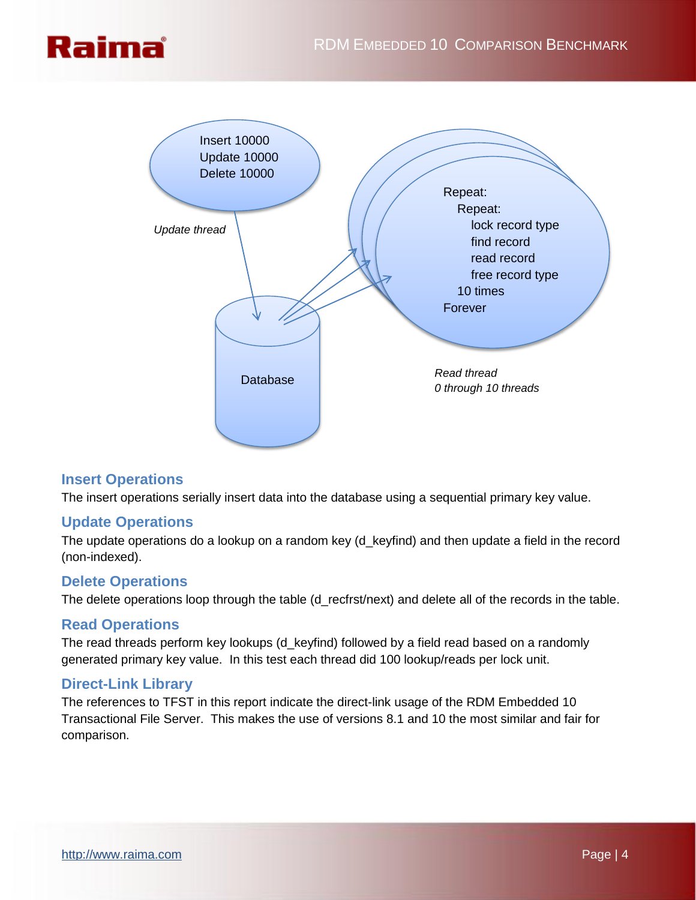



#### <span id="page-3-0"></span>**Insert Operations**

The insert operations serially insert data into the database using a sequential primary key value.

#### <span id="page-3-1"></span>**Update Operations**

The update operations do a lookup on a random key (d\_keyfind) and then update a field in the record (non-indexed).

#### <span id="page-3-2"></span>**Delete Operations**

The delete operations loop through the table (d\_recfrst/next) and delete all of the records in the table.

#### <span id="page-3-3"></span>**Read Operations**

The read threads perform key lookups (d\_keyfind) followed by a field read based on a randomly generated primary key value. In this test each thread did 100 lookup/reads per lock unit.

#### <span id="page-3-4"></span>**Direct-Link Library**

The references to TFST in this report indicate the direct-link usage of the RDM Embedded 10 Transactional File Server. This makes the use of versions 8.1 and 10 the most similar and fair for comparison.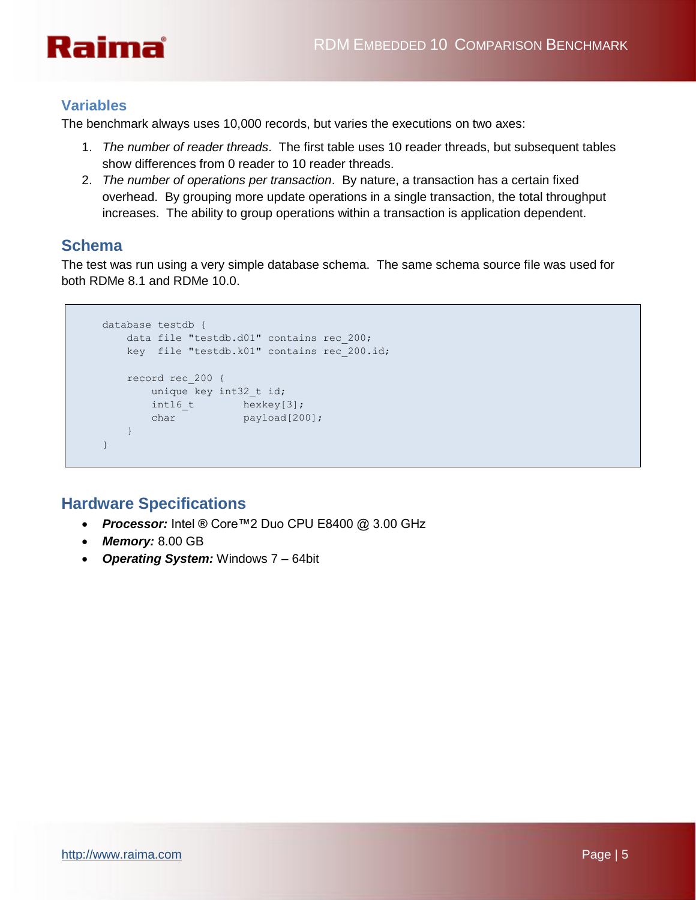

#### <span id="page-4-0"></span>**Variables**

The benchmark always uses 10,000 records, but varies the executions on two axes:

- 1. *The number of reader threads*. The first table uses 10 reader threads, but subsequent tables show differences from 0 reader to 10 reader threads.
- 2. *The number of operations per transaction*. By nature, a transaction has a certain fixed overhead. By grouping more update operations in a single transaction, the total throughput increases. The ability to group operations within a transaction is application dependent.

### <span id="page-4-1"></span>**Schema**

The test was run using a very simple database schema. The same schema source file was used for both RDMe 8.1 and RDMe 10.0.

```
database testdb {
   data file "testdb.d01" contains rec_200;
   key file "testdb.k01" contains rec 200.id;
    record rec_200 {
       unique key int32_t id;
       int16_t hexkey[3];
      char payload[200];
    }
}
```
### <span id="page-4-2"></span>**Hardware Specifications**

- *Processor:* Intel ® Core™2 Duo CPU E8400 @ 3.00 GHz
- *Memory:* 8.00 GB
- *Operating System:* Windows 7 64bit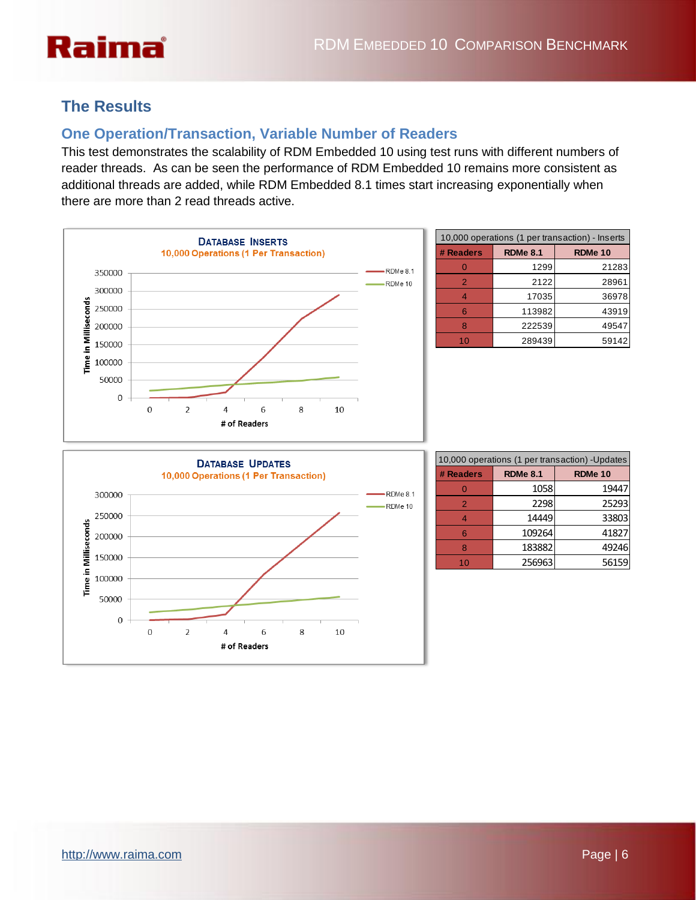# Raima

## <span id="page-5-0"></span>**The Results**

#### <span id="page-5-1"></span>**One Operation/Transaction, Variable Number of Readers**

This test demonstrates the scalability of RDM Embedded 10 using test runs with different numbers of reader threads. As can be seen the performance of RDM Embedded 10 remains more consistent as additional threads are added, while RDM Embedded 8.1 times start increasing exponentially when there are more than 2 read threads active.



|               | 10,000 operations (1 per transaction) - Inserts |         |  |
|---------------|-------------------------------------------------|---------|--|
| # Readers     | <b>RDMe 8.1</b>                                 | RDMe 10 |  |
|               | 1299                                            | 21283   |  |
| $\mathcal{P}$ | 2122                                            | 28961   |  |
|               | 17035                                           | 36978   |  |
|               | 113982                                          | 43919   |  |
|               | 222539                                          | 49547   |  |
|               | 289439                                          | 59142   |  |



| 10,000 operations (1 per transaction) - Updates |                 |         |
|-------------------------------------------------|-----------------|---------|
| # Readers                                       | <b>RDMe 8.1</b> | RDMe 10 |
|                                                 | 1058            | 19447   |
| 2                                               | 2298            | 25293   |
|                                                 | 14449           | 33803   |
|                                                 | 109264          | 41827   |
|                                                 | 183882          | 49246   |
| 10                                              | 256963          | 56159   |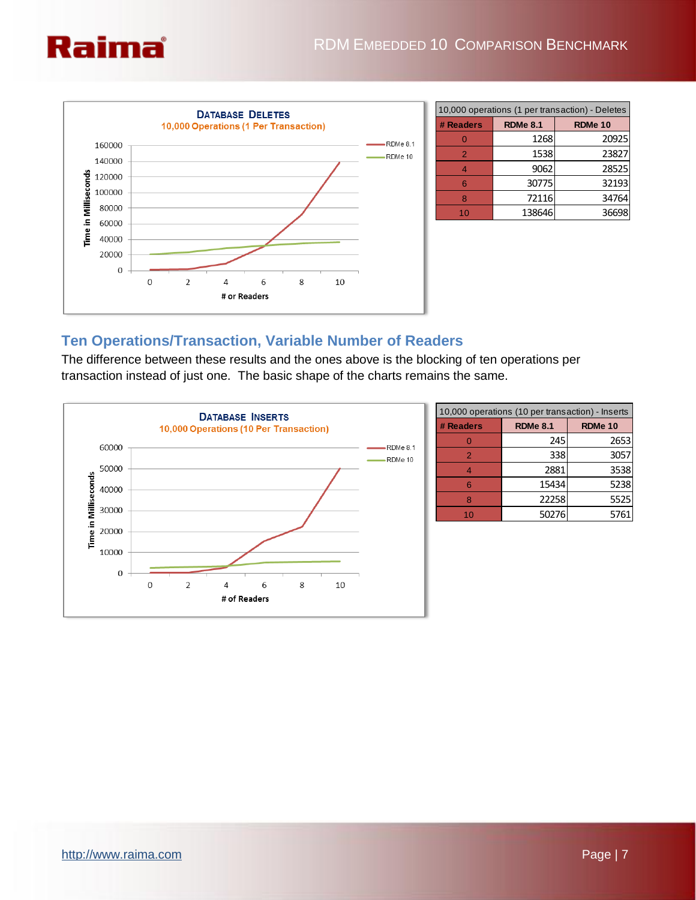



|           | 10,000 operations (1 per transaction) - Deletes |         |  |
|-----------|-------------------------------------------------|---------|--|
| # Readers | <b>RDMe 8.1</b>                                 | RDMe 10 |  |
|           | 1268                                            | 20925   |  |
| 2         | 1538                                            | 23827   |  |
|           | 9062                                            | 28525   |  |
|           | 30775                                           | 32193   |  |
|           | 72116                                           | 34764   |  |
| 10        | 138646                                          | 3669    |  |

#### <span id="page-6-0"></span>**Ten Operations/Transaction, Variable Number of Readers**

The difference between these results and the ones above is the blocking of ten operations per transaction instead of just one. The basic shape of the charts remains the same.



| 10,000 operations (10 per transaction) - Inserts |                 |         |
|--------------------------------------------------|-----------------|---------|
| # Readers                                        | <b>RDMe 8.1</b> | RDMe 10 |
|                                                  | 245             | 2653    |
| $\mathcal{P}$                                    | 338             | 3057    |
|                                                  | 2881            | 3538    |
|                                                  | 15434           | 5238    |
|                                                  | 22258           | 5525    |
| 10                                               | 50276           | 5761    |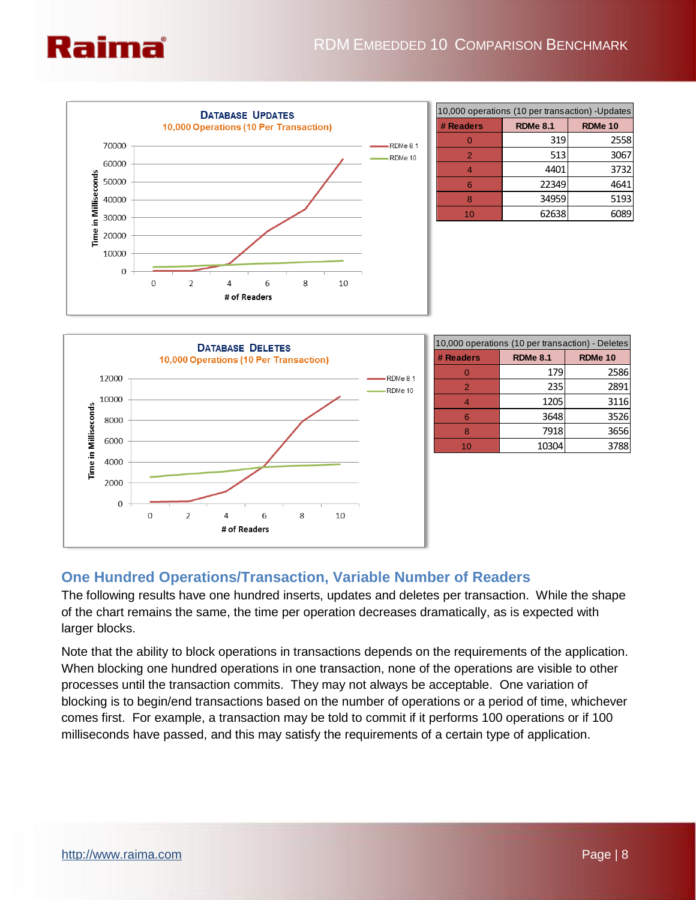





#### <span id="page-7-0"></span>**One Hundred Operations/Transaction, Variable Number of Readers**

The following results have one hundred inserts, updates and deletes per transaction. While the shape of the chart remains the same, the time per operation decreases dramatically, as is expected with larger blocks.

Note that the ability to block operations in transactions depends on the requirements of the application. When blocking one hundred operations in one transaction, none of the operations are visible to other processes until the transaction commits. They may not always be acceptable. One variation of blocking is to begin/end transactions based on the number of operations or a period of time, whichever comes first. For example, a transaction may be told to commit if it performs 100 operations or if 100 milliseconds have passed, and this may satisfy the requirements of a certain type of application.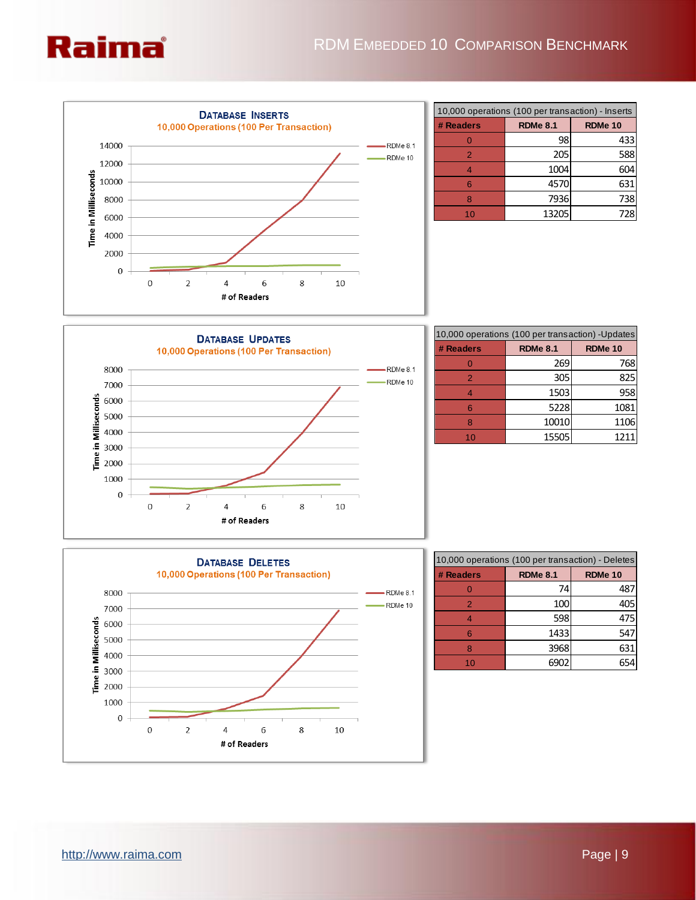



| 10,000 operations (100 per transaction) - Inserts |                 |         |
|---------------------------------------------------|-----------------|---------|
| # Readers                                         | <b>RDMe 8.1</b> | RDMe 10 |
|                                                   | 98              | 433     |
| $\mathcal{P}$                                     | 205             | 588     |
|                                                   | 1004            | 604     |
|                                                   | 4570            | 631     |
|                                                   | 7936            | 738     |
| 10                                                | 13205           | 728     |



| 10,000 operations (100 per transaction) - Updates |                 |         |
|---------------------------------------------------|-----------------|---------|
| # Readers                                         | <b>RDMe 8.1</b> | RDMe 10 |
|                                                   | 269             | 768     |
| 2                                                 | 305             | 825     |
|                                                   | 1503            | 958     |
|                                                   | 5228            | 1081    |
|                                                   | 10010           | 1106    |
|                                                   | 15505           | 1211    |



| 10,000 operations (100 per transaction) - Deletes |                 |         |
|---------------------------------------------------|-----------------|---------|
| # Readers                                         | <b>RDMe 8.1</b> | RDMe 10 |
|                                                   | 74              | 48      |
| 2                                                 | 100             | 405     |
|                                                   | 598             | 475     |
| 6                                                 | 1433            | 547     |
|                                                   | 3968            | 63      |
|                                                   |                 |         |